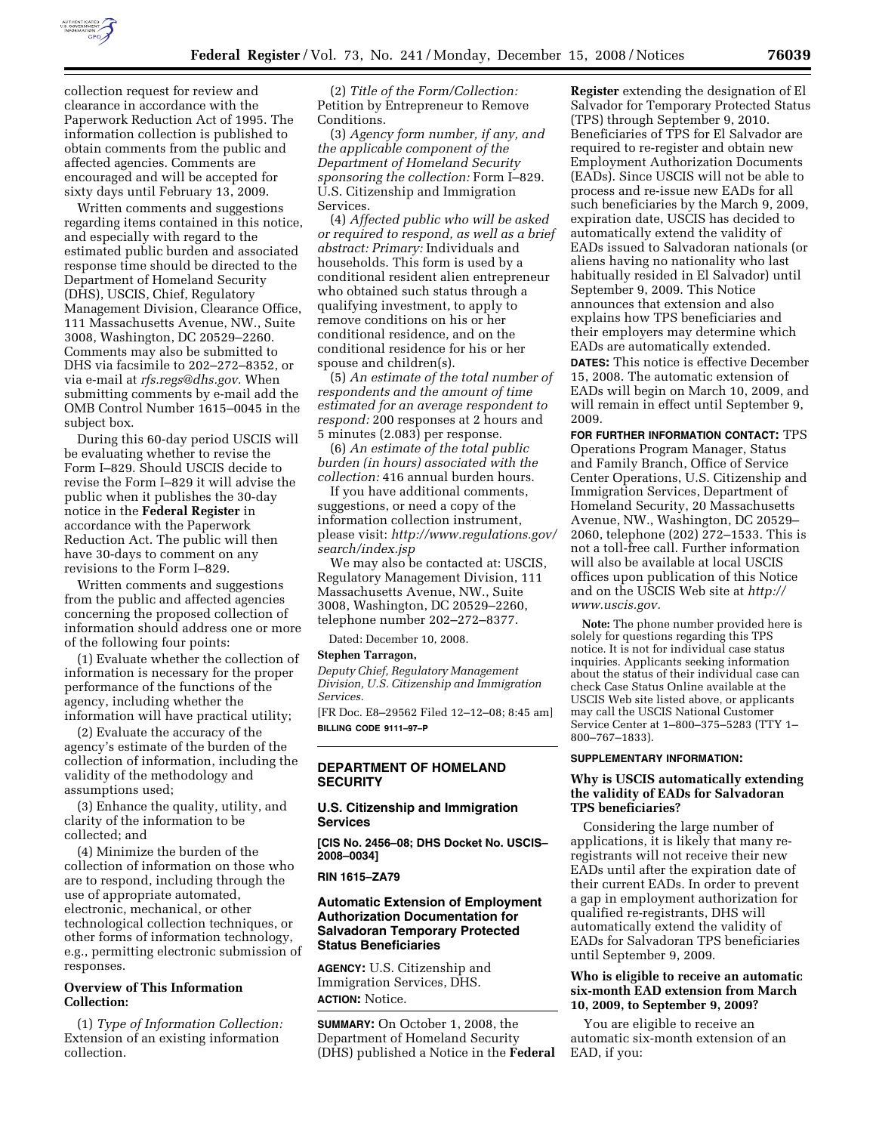

collection request for review and clearance in accordance with the Paperwork Reduction Act of 1995. The information collection is published to obtain comments from the public and affected agencies. Comments are encouraged and will be accepted for sixty days until February 13, 2009.

Written comments and suggestions regarding items contained in this notice, and especially with regard to the estimated public burden and associated response time should be directed to the Department of Homeland Security (DHS), USCIS, Chief, Regulatory Management Division, Clearance Office, 111 Massachusetts Avenue, NW., Suite 3008, Washington, DC 20529–2260. Comments may also be submitted to DHS via facsimile to 202–272–8352, or via e-mail at *rfs.regs@dhs.gov.* When submitting comments by e-mail add the OMB Control Number 1615–0045 in the subject box.

During this 60-day period USCIS will be evaluating whether to revise the Form I–829. Should USCIS decide to revise the Form I–829 it will advise the public when it publishes the 30-day notice in the **Federal Register** in accordance with the Paperwork Reduction Act. The public will then have 30-days to comment on any revisions to the Form I–829.

Written comments and suggestions from the public and affected agencies concerning the proposed collection of information should address one or more of the following four points:

(1) Evaluate whether the collection of information is necessary for the proper performance of the functions of the agency, including whether the information will have practical utility;

(2) Evaluate the accuracy of the agency's estimate of the burden of the collection of information, including the validity of the methodology and assumptions used;

(3) Enhance the quality, utility, and clarity of the information to be collected; and

(4) Minimize the burden of the collection of information on those who are to respond, including through the use of appropriate automated, electronic, mechanical, or other technological collection techniques, or other forms of information technology, e.g., permitting electronic submission of responses.

### **Overview of This Information Collection:**

(1) *Type of Information Collection:*  Extension of an existing information collection.

(2) *Title of the Form/Collection:*  Petition by Entrepreneur to Remove Conditions.

(3) *Agency form number, if any, and the applicable component of the Department of Homeland Security sponsoring the collection:* Form I–829. U.S. Citizenship and Immigration Services.

(4) *Affected public who will be asked or required to respond, as well as a brief abstract: Primary:* Individuals and households. This form is used by a conditional resident alien entrepreneur who obtained such status through a qualifying investment, to apply to remove conditions on his or her conditional residence, and on the conditional residence for his or her spouse and children(s).

(5) *An estimate of the total number of respondents and the amount of time estimated for an average respondent to respond:* 200 responses at 2 hours and 5 minutes (2.083) per response.

(6) *An estimate of the total public burden (in hours) associated with the collection:* 416 annual burden hours.

If you have additional comments, suggestions, or need a copy of the information collection instrument, please visit: *http://www.regulations.gov/ search/index.jsp* 

We may also be contacted at: USCIS, Regulatory Management Division, 111 Massachusetts Avenue, NW., Suite 3008, Washington, DC 20529–2260, telephone number 202–272–8377.

Dated: December 10, 2008.

#### **Stephen Tarragon,**

*Deputy Chief, Regulatory Management Division, U.S. Citizenship and Immigration Services.* 

[FR Doc. E8–29562 Filed 12–12–08; 8:45 am] **BILLING CODE 9111–97–P** 

## **DEPARTMENT OF HOMELAND SECURITY**

## **U.S. Citizenship and Immigration Services**

**[CIS No. 2456–08; DHS Docket No. USCIS– 2008–0034]** 

### **RIN 1615–ZA79**

## **Automatic Extension of Employment Authorization Documentation for Salvadoran Temporary Protected Status Beneficiaries**

**AGENCY:** U.S. Citizenship and Immigration Services, DHS. **ACTION:** Notice.

**SUMMARY:** On October 1, 2008, the Department of Homeland Security (DHS) published a Notice in the **Federal** 

**Register** extending the designation of El Salvador for Temporary Protected Status (TPS) through September 9, 2010. Beneficiaries of TPS for El Salvador are required to re-register and obtain new Employment Authorization Documents (EADs). Since USCIS will not be able to process and re-issue new EADs for all such beneficiaries by the March 9, 2009, expiration date, USCIS has decided to automatically extend the validity of EADs issued to Salvadoran nationals (or aliens having no nationality who last habitually resided in El Salvador) until September 9, 2009. This Notice announces that extension and also explains how TPS beneficiaries and their employers may determine which EADs are automatically extended.

**DATES:** This notice is effective December 15, 2008. The automatic extension of EADs will begin on March 10, 2009, and will remain in effect until September 9, 2009.

**FOR FURTHER INFORMATION CONTACT:** TPS Operations Program Manager, Status and Family Branch, Office of Service Center Operations, U.S. Citizenship and Immigration Services, Department of Homeland Security, 20 Massachusetts Avenue, NW., Washington, DC 20529– 2060, telephone (202) 272–1533. This is not a toll-free call. Further information will also be available at local USCIS offices upon publication of this Notice and on the USCIS Web site at *http:// www.uscis.gov.* 

**Note:** The phone number provided here is solely for questions regarding this TPS notice. It is not for individual case status inquiries. Applicants seeking information about the status of their individual case can check Case Status Online available at the USCIS Web site listed above, or applicants may call the USCIS National Customer Service Center at 1–800–375–5283 (TTY 1– 800–767–1833).

#### **SUPPLEMENTARY INFORMATION:**

#### **Why is USCIS automatically extending the validity of EADs for Salvadoran TPS beneficiaries?**

Considering the large number of applications, it is likely that many reregistrants will not receive their new EADs until after the expiration date of their current EADs. In order to prevent a gap in employment authorization for qualified re-registrants, DHS will automatically extend the validity of EADs for Salvadoran TPS beneficiaries until September 9, 2009.

### **Who is eligible to receive an automatic six-month EAD extension from March 10, 2009, to September 9, 2009?**

You are eligible to receive an automatic six-month extension of an EAD, if you: